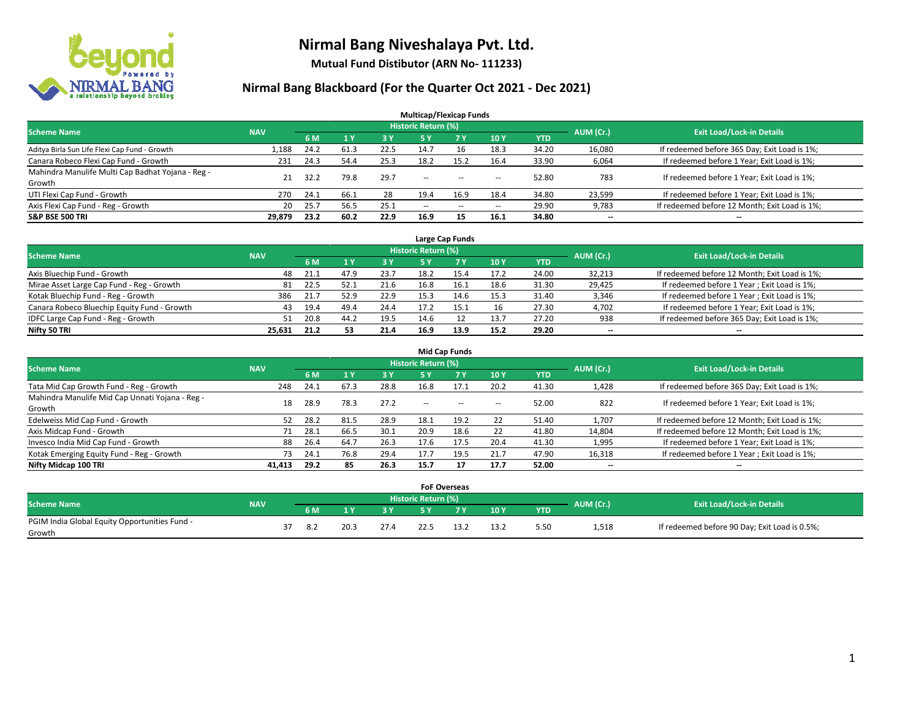

**Mutual Fund Distibutor (ARN No- 111233)**

| <b>Multicap/Flexicap Funds</b>                    |            |       |      |      |                            |       |                          |            |           |                                               |  |  |  |
|---------------------------------------------------|------------|-------|------|------|----------------------------|-------|--------------------------|------------|-----------|-----------------------------------------------|--|--|--|
| <b>Scheme Name</b>                                | <b>NAV</b> |       |      |      | <b>Historic Return (%)</b> |       |                          |            | AUM (Cr.) | <b>Exit Load/Lock-in Details</b>              |  |  |  |
|                                                   |            | 6 M   | 1Y   | 3 Y  | 75 Y.                      | 7 Y   | <b>10Y</b>               | <b>YTD</b> |           |                                               |  |  |  |
| Aditya Birla Sun Life Flexi Cap Fund - Growth     | 1,188      | 24.2  | 61.3 | 22.5 | 14.7                       | 16    | 18.3                     | 34.20      | 16,080    | If redeemed before 365 Day; Exit Load is 1%;  |  |  |  |
| Canara Robeco Flexi Cap Fund - Growth             | 231        | 24.3  | 54.4 | 25.3 | 18.2                       | 15.2  | 16.4                     | 33.90      | 6,064     | If redeemed before 1 Year; Exit Load is 1%;   |  |  |  |
| Mahindra Manulife Multi Cap Badhat Yojana - Reg - | 21         | -32.2 | 79.8 | 29.7 | $\sim$                     | $- -$ |                          | 52.80      | 783       | If redeemed before 1 Year; Exit Load is 1%;   |  |  |  |
| Growth                                            |            |       |      |      |                            |       | $\overline{\phantom{a}}$ |            |           |                                               |  |  |  |
| UTI Flexi Cap Fund - Growth                       | 270        | 24.1  | 66.1 | 28   | 19.4                       | 16.9  | 18.4                     | 34.80      | 23,599    | If redeemed before 1 Year; Exit Load is 1%;   |  |  |  |
| Axis Flexi Cap Fund - Reg - Growth                | 20         | 25.7  | 56.5 | 25.1 | $\overline{\phantom{a}}$   | $-$   | $\overline{\phantom{a}}$ | 29.90      | 9,783     | If redeemed before 12 Month; Exit Load is 1%; |  |  |  |
| <b>S&amp;P BSE 500 TRI</b>                        | 29,879     | 23.2  | 60.2 | 22.9 | 16.9                       | 15    | 16.1                     | 34.80      | $- -$     | $- -$                                         |  |  |  |

| Large Cap Funds                             |            |      |      |      |                            |            |      |            |           |                                               |  |  |  |
|---------------------------------------------|------------|------|------|------|----------------------------|------------|------|------------|-----------|-----------------------------------------------|--|--|--|
| <b>Scheme Name</b>                          | <b>NAV</b> |      |      |      | <b>Historic Return (%)</b> |            |      |            | AUM (Cr.) | <b>Exit Load/Lock-in Details</b>              |  |  |  |
|                                             |            | 6 M  |      | 3 Y  |                            | <b>7 Y</b> | 10Y  | <b>YTD</b> |           |                                               |  |  |  |
| Axis Bluechip Fund - Growth                 | 48         | 21.1 | 47.9 | 23.7 | 18.2                       | 15.4       | 17.2 | 24.00      | 32,213    | If redeemed before 12 Month; Exit Load is 1%; |  |  |  |
| Mirae Asset Large Cap Fund - Reg - Growth   | 81         | 22.5 | 52.1 | 21.6 | 16.8                       | 16.1       | 18.6 | 31.30      | 29,425    | If redeemed before 1 Year; Exit Load is 1%;   |  |  |  |
| Kotak Bluechip Fund - Reg - Growth          | 386        | 21.7 | 52.9 | 22.9 | 15.3                       |            | 15.3 | 31.40      | 3,346     | If redeemed before 1 Year; Exit Load is 1%;   |  |  |  |
| Canara Robeco Bluechip Equity Fund - Growth | 43         | 19.4 | 49.4 | 24.4 | 17.2                       |            | 16   | 27.30      | 4,702     | If redeemed before 1 Year; Exit Load is 1%;   |  |  |  |
| IDFC Large Cap Fund - Reg - Growth          | 51         | 20.8 | 44.7 | 19.5 | 14.6                       |            | 13.7 | 27.20      | 938       | If redeemed before 365 Day; Exit Load is 1%;  |  |  |  |
| Nifty 50 TRI                                | 25.631     | 21.2 | 53   | 21.4 | 16.9                       | 13.9       | 15.2 | 29.20      | $- -$     | $- -$                                         |  |  |  |

|                                                           |            |      |      |      |                     | <b>Mid Cap Funds</b> |                          |       |                          |                                               |
|-----------------------------------------------------------|------------|------|------|------|---------------------|----------------------|--------------------------|-------|--------------------------|-----------------------------------------------|
| <b>Scheme Name</b>                                        | <b>NAV</b> |      |      |      | Historic Return (%) |                      |                          |       |                          | <b>Exit Load/Lock-in Details</b>              |
|                                                           |            | 6 M  |      | 3 Y  | 5 Y                 | <b>7Y</b>            | 10Y                      | YTD   | AUM (Cr.)                |                                               |
| Tata Mid Cap Growth Fund - Reg - Growth                   | 248        | 24.1 | 67.3 | 28.8 | 16.8                | 17.1                 | 20.2                     | 41.30 | 1,428                    | If redeemed before 365 Day; Exit Load is 1%;  |
| Mahindra Manulife Mid Cap Unnati Yojana - Reg -<br>Growth | 18         | 28.9 | 78.3 | 27.2 | $-$                 | $\sim$               | $\overline{\phantom{a}}$ | 52.00 | 822                      | If redeemed before 1 Year; Exit Load is 1%;   |
| Edelweiss Mid Cap Fund - Growth                           | 52         | 28.2 | 81.5 | 28.9 | 18.1                | 19.2                 | 22                       | 51.40 | 1,707                    | If redeemed before 12 Month; Exit Load is 1%; |
| Axis Midcap Fund - Growth                                 | 71         | 28.1 | 66.5 | 30.1 | 20.9                | 18.6                 | 22                       | 41.80 | 14,804                   | If redeemed before 12 Month; Exit Load is 1%; |
| Invesco India Mid Cap Fund - Growth                       | 88         | 26.4 | 64.7 | 26.3 | 17.6                | 17.5                 | 20.4                     | 41.30 | 1,995                    | If redeemed before 1 Year; Exit Load is 1%;   |
| Kotak Emerging Equity Fund - Reg - Growth                 | 73         | 24.1 | 76.8 | 29.4 | 17.7                | 19.5                 | 21.7                     | 47.90 | 16,318                   | If redeemed before 1 Year; Exit Load is 1%;   |
| Nifty Midcap 100 TRI                                      | 41.413     | 29.2 | 85   | 26.3 | 15.7                | 17                   | 17.7                     | 52.00 | $\overline{\phantom{a}}$ | $-$                                           |

|                                               |            |     |      |           |                     | <b>FoF Overseas</b> |      |            |           |                                               |
|-----------------------------------------------|------------|-----|------|-----------|---------------------|---------------------|------|------------|-----------|-----------------------------------------------|
| Scheme Name                                   | <b>NAV</b> |     |      |           | Historic Return (%) |                     |      |            | AUM (Cr.) | <b>Exit Load/Lock-in Details</b>              |
|                                               |            | 6 M | 1 V  | <b>2V</b> |                     | 'י ד                | 10Y  | <b>YTD</b> |           |                                               |
| PGIM India Global Equity Opportunities Fund - |            | 8.2 | 20.3 | 27.4      |                     |                     | 13.2 | 5.50       | 1,518     | If redeemed before 90 Day; Exit Load is 0.5%; |
| Growth                                        |            |     |      |           |                     |                     |      |            |           |                                               |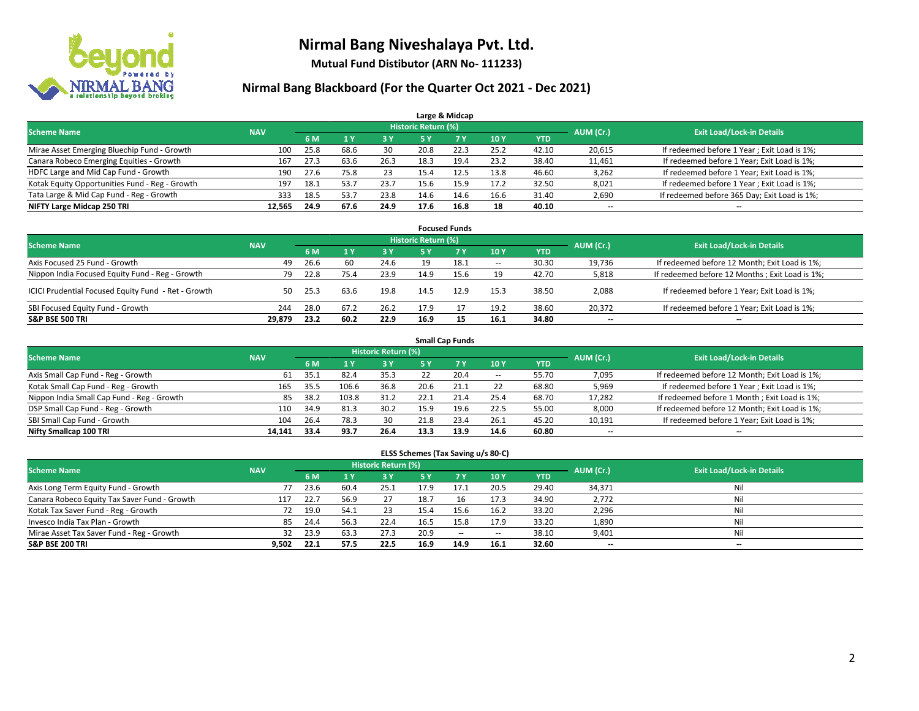

**Mutual Fund Distibutor (ARN No- 111233)**

### **Nirmal Bang Blackboard (For the Quarter Oct 2021 - Dec 2021)**

|                                                |            |      |      |      |                            | Large & Midcap |      |            |                          |                                              |
|------------------------------------------------|------------|------|------|------|----------------------------|----------------|------|------------|--------------------------|----------------------------------------------|
| <b>Scheme Name</b>                             | <b>NAV</b> |      |      |      | <b>Historic Return (%)</b> |                |      |            | AUM (Cr.)                | <b>Exit Load/Lock-in Details</b>             |
|                                                |            | 6 M  |      | 3 Y  | 5 Y                        | 7 Y            | 10Y  | <b>YTD</b> |                          |                                              |
| Mirae Asset Emerging Bluechip Fund - Growth    | 100        | 25.8 | 68.6 | 30   | 20.8                       | 22.3           | 25.2 | 42.10      | 20,615                   | If redeemed before 1 Year; Exit Load is 1%;  |
| Canara Robeco Emerging Equities - Growth       | 167        | 27.3 | 63.6 | 26.3 | 18.3                       | 19.4           | 23.2 | 38.40      | 11,461                   | If redeemed before 1 Year; Exit Load is 1%;  |
| HDFC Large and Mid Cap Fund - Growth           | 190        | 27.6 | 75.8 | 23   | 15.4                       | 12.5           | 13.8 | 46.60      | 3,262                    | If redeemed before 1 Year; Exit Load is 1%;  |
| Kotak Equity Opportunities Fund - Reg - Growth | 197        | 18.1 | 53.7 | 23.7 | 15.6                       | 15.9           | 17.2 | 32.50      | 8,021                    | If redeemed before 1 Year; Exit Load is 1%;  |
| Tata Large & Mid Cap Fund - Reg - Growth       | 333        | 18.5 | 53.7 | 23.8 | 14.6                       | 14.6           | 16.6 | 31.40      | 2,690                    | If redeemed before 365 Day; Exit Load is 1%; |
| NIFTY Large Midcap 250 TRI                     | 12.565     | 24.9 | 67.6 | 24.9 | 17.6                       | 16.8           | 18   | 40.10      | $\overline{\phantom{a}}$ | $- -$                                        |

| <b>Focused Funds</b>                                |            |      |      |            |                     |      |                          |       |                          |                                                |  |  |  |  |
|-----------------------------------------------------|------------|------|------|------------|---------------------|------|--------------------------|-------|--------------------------|------------------------------------------------|--|--|--|--|
| <b>Scheme Name</b>                                  | <b>NAV</b> |      |      |            | Historic Return (%) |      |                          |       | AUM (Cr.)                | <b>Exit Load/Lock-in Details</b>               |  |  |  |  |
|                                                     |            | 6 M  |      | <b>3 Y</b> | 5 Y                 | 7 Y  | 10Y                      | YTD   |                          |                                                |  |  |  |  |
| Axis Focused 25 Fund - Growth                       | 49         | 26.6 | 60   | 24.6       | 19                  | 18.1 | $\overline{\phantom{a}}$ | 30.30 | 19.736                   | If redeemed before 12 Month; Exit Load is 1%;  |  |  |  |  |
| Nippon India Focused Equity Fund - Reg - Growth     | 79         | 22.8 | 75.4 | 23.9       | 14.9                | 15.6 | 19                       | 42.70 | 5,818                    | If redeemed before 12 Months; Exit Load is 1%; |  |  |  |  |
| ICICI Prudential Focused Equity Fund - Ret - Growth | 50         | 25.3 | 63.6 | 19.8       | 14.5                | 12.9 | 15.3                     | 38.50 | 2,088                    | If redeemed before 1 Year; Exit Load is 1%;    |  |  |  |  |
| SBI Focused Equity Fund - Growth                    | 244        | 28.0 | 67.2 | 26.2       | 17.9                |      | 19.2                     | 38.60 | 20.372                   | If redeemed before 1 Year; Exit Load is 1%;    |  |  |  |  |
| <b>S&amp;P BSE 500 TRI</b>                          | 29.879     | 23.2 | 60.2 | 22.9       | 16.9                |      | 16.1                     | 34.80 | $\overline{\phantom{a}}$ | $\overline{\phantom{a}}$                       |  |  |  |  |

|                                            | <b>Small Cap Funds</b> |           |                                  |      |            |           |            |            |        |                                               |  |  |  |  |  |
|--------------------------------------------|------------------------|-----------|----------------------------------|------|------------|-----------|------------|------------|--------|-----------------------------------------------|--|--|--|--|--|
| <b>Scheme Name</b>                         | <b>NAV</b>             | AUM (Cr.) | <b>Exit Load/Lock-in Details</b> |      |            |           |            |            |        |                                               |  |  |  |  |  |
|                                            |                        | 6 M       |                                  | 3 Y  | <b>5 Y</b> | <b>7Y</b> | <b>10Y</b> | <b>YTD</b> |        |                                               |  |  |  |  |  |
| Axis Small Cap Fund - Reg - Growth         | 61                     | 35.1      | 82.4                             | 35.3 |            | 20.4      | $- -$      | 55.70      | 7,095  | If redeemed before 12 Month; Exit Load is 1%; |  |  |  |  |  |
| Kotak Small Cap Fund - Reg - Growth        | 165                    | 35.5      | 106.6                            | 36.8 | 20.6       | 21.1      | 22         | 68.80      | 5,969  | If redeemed before 1 Year; Exit Load is 1%;   |  |  |  |  |  |
| Nippon India Small Cap Fund - Reg - Growth | 85                     | 38.2      | 103.8                            | 31.2 | 22.1       | 21.4      | 25.4       | 68.70      | 17,282 | If redeemed before 1 Month; Exit Load is 1%;  |  |  |  |  |  |
| DSP Small Cap Fund - Reg - Growth          | 110                    | 34.9      | 81.3                             | 30.2 | 15.9       | 19.6      | 22.5       | 55.00      | 8,000  | If redeemed before 12 Month; Exit Load is 1%; |  |  |  |  |  |
| SBI Small Cap Fund - Growth                | 104                    | 26.4      | 78.3                             | 30   | 21.8       | 23.4      | 26.1       | 45.20      | 10,191 | If redeemed before 1 Year; Exit Load is 1%;   |  |  |  |  |  |
| Nifty Smallcap 100 TRI                     | 14.141                 | 33.4      | 93.7                             | 26.4 | 13.3       | 13.9      | 14.6       | 60.80      | --     | $\overline{\phantom{a}}$                      |  |  |  |  |  |

#### **ELSS Schemes (Tax Saving u/s 80-C)**

| <b>Scheme Name</b>                           | <b>NAV</b> |      |      | Historic Return (%) |           |           |            |            | AUM (Cr.) | <b>Exit Load/Lock-in Details</b> |
|----------------------------------------------|------------|------|------|---------------------|-----------|-----------|------------|------------|-----------|----------------------------------|
|                                              |            | 6 M  |      | <b>3 Y</b>          | <b>5Y</b> | <b>7Y</b> | <b>10Y</b> | <b>YTD</b> |           |                                  |
| Axis Long Term Equity Fund - Growth          |            | 23.6 | 60.4 | 25.1                | 17.9      | 17.1      | 20.5       | 29.40      | 34,371    | Nil                              |
| Canara Robeco Equity Tax Saver Fund - Growth | 117        | 22.7 | 56.9 | 27                  | 18.7      | 16        | 17.3       | 34.90      | 2.772     | Nil                              |
| Kotak Tax Saver Fund - Reg - Growth          | 72         | 19.0 | 54.1 | 23                  | 15.4      | 15.6      | 16.2       | 33.20      | 2,296     | Nil                              |
| Invesco India Tax Plan - Growth              | 85         | 24.4 | 56.3 | 22.4                | 16.5      | 15.8      | 17.9       | 33.20      | 1,890     | Nil                              |
| Mirae Asset Tax Saver Fund - Reg - Growth    | 32         | 23.9 | 63.3 | 27.3                | 20.9      | $\sim$    | $\!-$      | 38.10      | 9,401     | Nil                              |
| <b>S&amp;P BSE 200 TRI</b>                   | 9,502      | 22.1 | 57.5 | 22.5                | 16.9      | 14.9      | 16.1       | 32.60      | --        | $\overline{\phantom{a}}$         |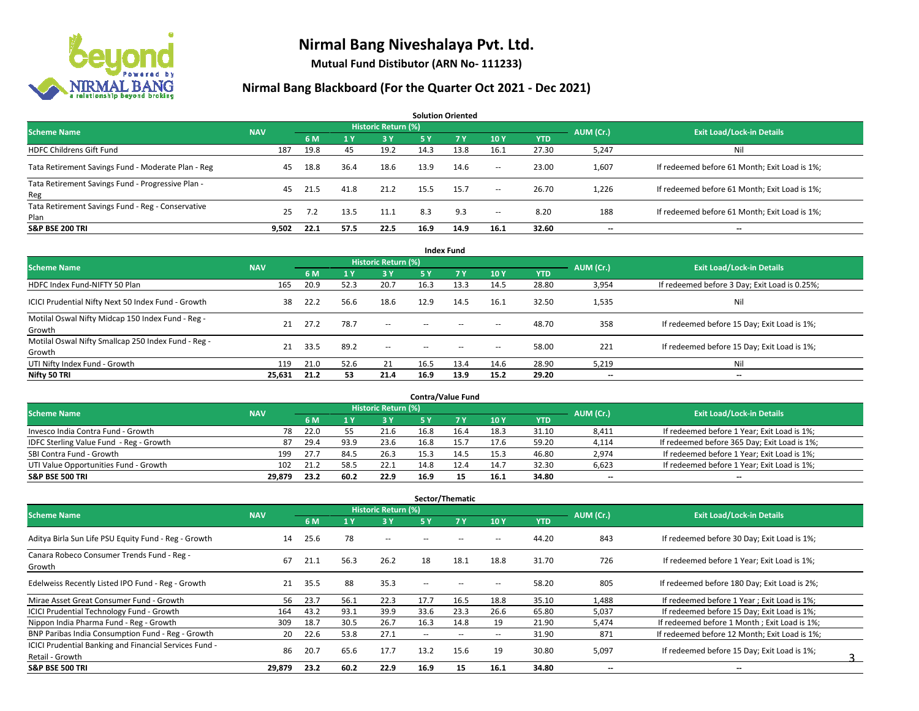

**Mutual Fund Distibutor (ARN No- 111233)**

| <b>Solution Oriented</b>                                  |            |      |      |                     |      |      |        |            |                          |                                               |  |  |  |
|-----------------------------------------------------------|------------|------|------|---------------------|------|------|--------|------------|--------------------------|-----------------------------------------------|--|--|--|
| <b>Scheme Name</b>                                        | <b>NAV</b> |      |      | Historic Return (%) |      |      |        |            | AUM (Cr.)                | <b>Exit Load/Lock-in Details</b>              |  |  |  |
|                                                           |            | 6 M  |      | <b>3Y</b>           | 75 Y | 7Y   | 10Y    | <b>YTD</b> |                          |                                               |  |  |  |
| <b>HDFC Childrens Gift Fund</b>                           | 187        | 19.8 | 45   | 19.2                | 14.3 | 13.8 | 16.1   | 27.30      | 5,247                    | Ni                                            |  |  |  |
| Tata Retirement Savings Fund - Moderate Plan - Reg        | 45         | 18.8 | 36.4 | 18.6                | 13.9 | 14.6 | $\sim$ | 23.00      | 1,607                    | If redeemed before 61 Month; Exit Load is 1%; |  |  |  |
| Tata Retirement Savings Fund - Progressive Plan -<br>Reg  | 45         | 21.5 | 41.8 | 21.2                | 15.5 | 15.7 | $\sim$ | 26.70      | 1,226                    | If redeemed before 61 Month; Exit Load is 1%; |  |  |  |
| Tata Retirement Savings Fund - Reg - Conservative<br>Plan | 25         | 7.2  | 13.5 | 11.1                | 8.3  | 9.3  | $\sim$ | 8.20       | 188                      | If redeemed before 61 Month; Exit Load is 1%; |  |  |  |
| <b>S&amp;P BSE 200 TRI</b>                                | 9.502      | 22.1 | 57.5 | 22.5                | 16.9 | 14.9 | 16.1   | 32.60      | $\overline{\phantom{a}}$ | $- -$                                         |  |  |  |

| <b>Index Fund</b>                                             |            |      |      |                            |        |       |                          |            |                          |                                               |  |  |  |  |
|---------------------------------------------------------------|------------|------|------|----------------------------|--------|-------|--------------------------|------------|--------------------------|-----------------------------------------------|--|--|--|--|
| <b>Scheme Name</b>                                            | <b>NAV</b> |      |      | <b>Historic Return (%)</b> |        |       |                          |            | AUM (Cr.)                | <b>Exit Load/Lock-in Details</b>              |  |  |  |  |
|                                                               |            | 6 M  | 71 Y | 3Y                         | 5 Y    | 7V    | 10Y                      | <b>YTD</b> |                          |                                               |  |  |  |  |
| HDFC Index Fund-NIFTY 50 Plan                                 | 165        | 20.9 | 52.3 | 20.7                       | 16.3   | 13.3  | 14.5                     | 28.80      | 3,954                    | If redeemed before 3 Day; Exit Load is 0.25%; |  |  |  |  |
| ICICI Prudential Nifty Next 50 Index Fund - Growth            | 38         | 22.2 | 56.6 | 18.6                       | 12.9   | 14.5  | 16.1                     | 32.50      | 1,535                    | Nil                                           |  |  |  |  |
| Motilal Oswal Nifty Midcap 150 Index Fund - Reg -<br>Growth   | 21         | 27.2 | 78.7 | $\sim$                     | $-$    | $- -$ | $\overline{\phantom{a}}$ | 48.70      | 358                      | If redeemed before 15 Day; Exit Load is 1%;   |  |  |  |  |
| Motilal Oswal Nifty Smallcap 250 Index Fund - Reg -<br>Growth | 21         | 33.5 | 89.2 | $\sim$ $-$                 | $\sim$ | $- -$ | $\overline{\phantom{a}}$ | 58.00      | 221                      | If redeemed before 15 Day; Exit Load is 1%;   |  |  |  |  |
| UTI Nifty Index Fund - Growth                                 | 119        | 21.0 | 52.6 | 21                         | 16.5   | 13.4  | 14.6                     | 28.90      | 5,219                    | Nil                                           |  |  |  |  |
| Nifty 50 TRI                                                  | 25,631     | 21.2 | 53   | 21.4                       | 16.9   | 13.9  | 15.2                     | 29.20      | $\overline{\phantom{a}}$ | $\overline{\phantom{a}}$                      |  |  |  |  |

| <b>Contra/Value Fund</b>                |            |                                  |      |      |      |      |      |       |       |                                              |  |  |  |
|-----------------------------------------|------------|----------------------------------|------|------|------|------|------|-------|-------|----------------------------------------------|--|--|--|
| <b>Scheme Name</b>                      | AUM (Cr.)  | <b>Exit Load/Lock-in Details</b> |      |      |      |      |      |       |       |                                              |  |  |  |
|                                         | <b>NAV</b> | 6 M                              |      | 3 Y  |      |      | 10Y  | YTD   |       |                                              |  |  |  |
| Invesco India Contra Fund - Growth      | 78         | 22.0                             |      | 21.6 | 16.8 | 16.4 | 18.3 | 31.10 | 8,411 | If redeemed before 1 Year; Exit Load is 1%;  |  |  |  |
| IDFC Sterling Value Fund - Reg - Growth | 87         | 29.4                             | 93.9 | 23.6 | 16.8 | 15.7 | 17.6 | 59.20 | 4,114 | If redeemed before 365 Day; Exit Load is 1%; |  |  |  |
| SBI Contra Fund - Growth                | 199        | 27.7                             | 84.5 | 26.3 | 15.3 | 14.5 | 15.3 | 46.80 | 2,974 | If redeemed before 1 Year; Exit Load is 1%;  |  |  |  |
| UTI Value Opportunities Fund - Growth   | 102        | 21.2                             | 58.5 | 22.1 | 14.8 | 12.4 | 14.7 | 32.30 | 6,623 | If redeemed before 1 Year; Exit Load is 1%;  |  |  |  |
| <b>S&amp;P BSE 500 TRI</b>              | 29.879     | 23.2                             | 60.2 | 22.9 | 16.9 |      | 16.1 | 34.80 | $- -$ | $-$                                          |  |  |  |

| Sector/Thematic                                                           |            |      |      |                            |               |                          |                          |            |                          |                                               |  |  |  |
|---------------------------------------------------------------------------|------------|------|------|----------------------------|---------------|--------------------------|--------------------------|------------|--------------------------|-----------------------------------------------|--|--|--|
| <b>Scheme Name</b>                                                        | <b>NAV</b> |      |      | <b>Historic Return (%)</b> |               |                          |                          |            | AUM (Cr.)                | <b>Exit Load/Lock-in Details</b>              |  |  |  |
|                                                                           |            | 6 M  | 1 Y  | 3 Y                        | 5 Y           | <b>7Y</b>                | 10Y                      | <b>YTD</b> |                          |                                               |  |  |  |
| Aditya Birla Sun Life PSU Equity Fund - Reg - Growth                      | 14         | 25.6 | 78   | $\sim$                     |               |                          | --                       | 44.20      | 843                      | If redeemed before 30 Day; Exit Load is 1%;   |  |  |  |
| Canara Robeco Consumer Trends Fund - Reg -<br>Growth                      | 67         | 21.1 | 56.3 | 26.2                       | 18            | 18.1                     | 18.8                     | 31.70      | 726                      | If redeemed before 1 Year; Exit Load is 1%;   |  |  |  |
| Edelweiss Recently Listed IPO Fund - Reg - Growth                         | 21         | 35.5 | 88   | 35.3                       | $\sim$ $\sim$ |                          |                          | 58.20      | 805                      | If redeemed before 180 Day; Exit Load is 2%;  |  |  |  |
| Mirae Asset Great Consumer Fund - Growth                                  | 56         | 23.7 | 56.1 | 22.3                       | 17.7          | 16.5                     | 18.8                     | 35.10      | 1,488                    | If redeemed before 1 Year; Exit Load is 1%;   |  |  |  |
| <b>ICICI Prudential Technology Fund - Growth</b>                          | 164        | 43.2 | 93.1 | 39.9                       | 33.6          | 23.3                     | 26.6                     | 65.80      | 5,037                    | If redeemed before 15 Day; Exit Load is 1%;   |  |  |  |
| Nippon India Pharma Fund - Reg - Growth                                   | 309        | 18.7 | 30.5 | 26.7                       | 16.3          | 14.8                     | 19                       | 21.90      | 5,474                    | If redeemed before 1 Month; Exit Load is 1%;  |  |  |  |
| BNP Paribas India Consumption Fund - Reg - Growth                         | 20         | 22.6 | 53.8 | 27.1                       | $\sim$        | $\overline{\phantom{a}}$ | $\overline{\phantom{a}}$ | 31.90      | 871                      | If redeemed before 12 Month: Exit Load is 1%: |  |  |  |
| ICICI Prudential Banking and Financial Services Fund -<br>Retail - Growth | 86         | 20.7 | 65.6 | 17.7                       | 13.2          | 15.6                     | 19                       | 30.80      | 5,097                    | If redeemed before 15 Day; Exit Load is 1%;   |  |  |  |
| <b>S&amp;P BSE 500 TRI</b>                                                | 29,879     | 23.2 | 60.2 | 22.9                       | 16.9          | 15                       | 16.1                     | 34.80      | $\overline{\phantom{a}}$ | --                                            |  |  |  |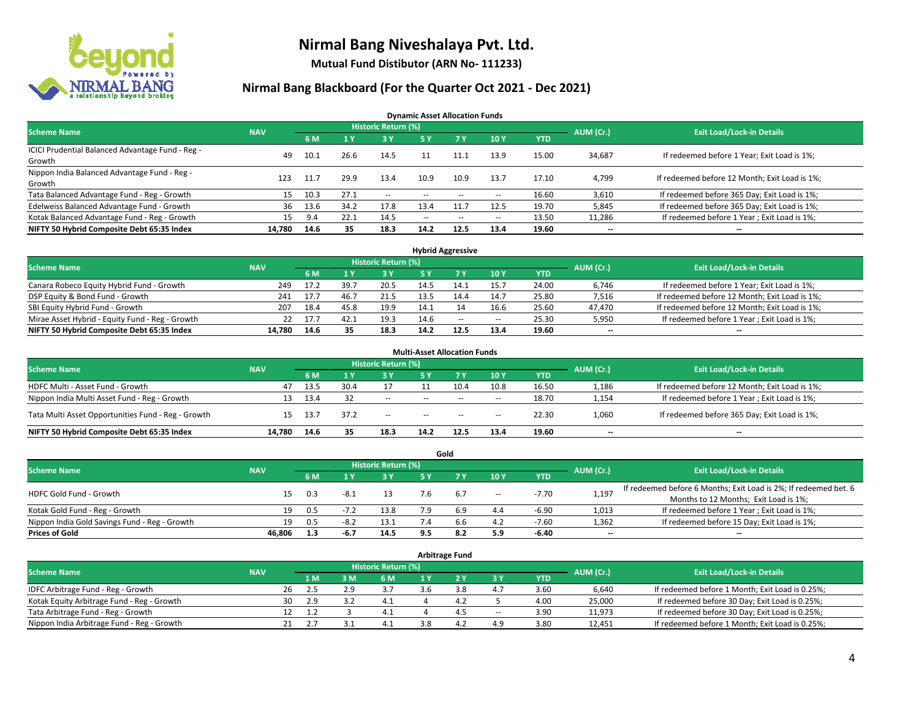

**Mutual Fund Distibutor (ARN No- 111233)**

#### **Nirmal Bang Blackboard (For the Quarter Oct 2021 - Dec 2021)**

**Dynamic Asset Allocation Funds**

| <b>Scheme Name</b>                                         | <b>NAV</b> |      |       | Historic Return (%) |               |        |                          |            | AUM (Cr.) | <b>Exit Load/Lock-in Details</b>              |
|------------------------------------------------------------|------------|------|-------|---------------------|---------------|--------|--------------------------|------------|-----------|-----------------------------------------------|
|                                                            |            | 6 M  |       | 3 Y                 | 5 Y           |        | 10Y                      | <b>YTD</b> |           |                                               |
| ICICI Prudential Balanced Advantage Fund - Reg -<br>Growth | 49         | 10.1 | 26.6  | 14.5                |               |        | 13.9                     | 15.00      | 34,687    | If redeemed before 1 Year; Exit Load is 1%;   |
| Nippon India Balanced Advantage Fund - Reg -<br>Growth     | 123        | 11.7 | 29.9  | 13.4                | 10.9          | 10.9   | 13.7                     | 17.10      | 4,799     | If redeemed before 12 Month; Exit Load is 1%; |
| Tata Balanced Advantage Fund - Reg - Growth                | 15         | 10.3 | 27.1  | $\sim$              | $\sim$ $\sim$ |        | $\overline{\phantom{a}}$ | 16.60      | 3,610     | If redeemed before 365 Day; Exit Load is 1%;  |
| Edelweiss Balanced Advantage Fund - Growth                 | 36         | 13.6 | 34.2  | 17.8                | 13.4          |        | 12.5                     | 19.70      | 5,845     | If redeemed before 365 Day; Exit Load is 1%;  |
| Kotak Balanced Advantage Fund - Reg - Growth               | 15         | 9.4  | 22. I | 14.5                | $- -$         | $\sim$ | $\sim$                   | 13.50      | 11,286    | If redeemed before 1 Year; Exit Load is 1%;   |
| NIFTY 50 Hybrid Composite Debt 65:35 Index                 | 14,780     | 14.6 | 35    | 18.3                | 14.2          | 12.5   | 13.4                     | 19.60      | $- -$     | $\overline{\phantom{a}}$                      |

| <b>Hybrid Aggressive</b>                        |            |      |      |                            |      |      |        |            |           |                                               |  |  |  |
|-------------------------------------------------|------------|------|------|----------------------------|------|------|--------|------------|-----------|-----------------------------------------------|--|--|--|
| <b>Scheme Name</b>                              | <b>NAV</b> |      |      | <b>Historic Return (%)</b> |      |      |        |            | AUM (Cr.) | <b>Exit Load/Lock-in Details</b>              |  |  |  |
|                                                 |            | 6 M  |      | 3 Y                        |      |      | 10Y    | <b>YTD</b> |           |                                               |  |  |  |
| Canara Robeco Equity Hybrid Fund - Growth       | 249        | 17.2 | 39.7 | 20.5                       |      |      | 15.7   | 24.00      | 6,746     | If redeemed before 1 Year; Exit Load is 1%;   |  |  |  |
| DSP Equity & Bond Fund - Growth                 | 241        | 17.7 | 46.7 | 21.5                       |      | 14.4 | 14.7   | 25.80      | 7,516     | If redeemed before 12 Month; Exit Load is 1%; |  |  |  |
| SBI Equity Hybrid Fund - Growth                 | 207        | 18.4 | 45.8 | 19.9                       | 14.1 |      | 16.6   | 25.60      | 47,470    | If redeemed before 12 Month; Exit Load is 1%; |  |  |  |
| Mirae Asset Hybrid - Equity Fund - Reg - Growth |            | 17.7 | 42.1 | 19.3                       | 14.6 | --   | $\sim$ | 25.30      | 5,950     | If redeemed before 1 Year; Exit Load is 1%;   |  |  |  |
| NIFTY 50 Hybrid Composite Debt 65:35 Index      | 14.780     | 14.6 | 35   | 18.3                       | 14.2 | 12.5 | 13.4   | 19.60      | $- -$     | $- -$                                         |  |  |  |

|                                                    |            |      |      |                            | <b>Multi-Asset Allocation Funds</b> |            |       |            |                          |                                               |
|----------------------------------------------------|------------|------|------|----------------------------|-------------------------------------|------------|-------|------------|--------------------------|-----------------------------------------------|
| <b>Scheme Name</b>                                 | <b>NAV</b> |      |      | <b>Historic Return (%)</b> |                                     |            |       |            | AUM (Cr.)                | <b>Exit Load/Lock-in Details</b>              |
|                                                    |            | 6 M  |      | <b>3Y</b>                  | 5 Y                                 | <b>7 V</b> | 10Y   | <b>YTD</b> |                          |                                               |
| HDFC Multi - Asset Fund - Growth                   | 47         | 13.5 | 30.4 |                            |                                     | 10.4       | 10.8  | 16.50      | 1,186                    | If redeemed before 12 Month; Exit Load is 1%; |
| Nippon India Multi Asset Fund - Reg - Growth       | 13         | 13.4 |      | $\sim$                     | $\sim$                              | $\sim$     | $\!-$ | 18.70      | 1,154                    | If redeemed before 1 Year; Exit Load is 1%;   |
| Tata Multi Asset Opportunities Fund - Reg - Growth | 15         | 13.7 | 37.2 | $\sim$                     | $-$                                 | $\sim$     | --    | 22.30      | 1,060                    | If redeemed before 365 Day; Exit Load is 1%;  |
| NIFTY 50 Hybrid Composite Debt 65:35 Index         | 14.780     | 14.6 | 35   | 18.3                       | 14.2                                | 12.5       | 13.4  | 19.60      | $\overline{\phantom{a}}$ | --                                            |

|                                               |            |                                  |        |            |     | Gold |        |            |       |                                                                  |
|-----------------------------------------------|------------|----------------------------------|--------|------------|-----|------|--------|------------|-------|------------------------------------------------------------------|
| <b>Scheme Name</b>                            | AUM (Cr.)  | <b>Exit Load/Lock-in Details</b> |        |            |     |      |        |            |       |                                                                  |
|                                               | <b>NAV</b> | 6 M                              |        | <b>3 Y</b> | 5 Y |      | 10Y    | <b>YTD</b> |       |                                                                  |
| HDFC Gold Fund - Growth                       |            | 0.3                              | $-8.1$ |            |     | 6.7  |        | $-7.70$    |       | If redeemed before 6 Months; Exit Load is 2%; If redeemed bet. 6 |
|                                               | 15         |                                  |        | 13         |     |      | $\sim$ |            | 1,197 | Months to 12 Months; Exit Load is 1%;                            |
| Kotak Gold Fund - Reg - Growth                | 19         | 0.5                              | $-1$   | 13.8       |     | 6.9  | 4.4    | $-6.90$    | 1,013 | If redeemed before 1 Year; Exit Load is 1%;                      |
| Nippon India Gold Savings Fund - Reg - Growth | 19         | 0.5                              | $-8.2$ | 13.1       |     | b.b  | 4.2    | $-7.60$    | 1,362 | If redeemed before 15 Day; Exit Load is 1%;                      |
| <b>Prices of Gold</b>                         | 46.806     | 1.3                              | -6.7   | 14.5       |     | 8.2  | 5.9    | -6.40      | $- -$ | $\overline{\phantom{a}}$                                         |

| <b>Arbitrage Fund</b>                      |            |                                  |     |       |     |  |     |                          |            |        |                                                 |  |  |
|--------------------------------------------|------------|----------------------------------|-----|-------|-----|--|-----|--------------------------|------------|--------|-------------------------------------------------|--|--|
| <b>Scheme Name</b>                         | AUM (Cr.)  | <b>Exit Load/Lock-in Details</b> |     |       |     |  |     |                          |            |        |                                                 |  |  |
|                                            | <b>NAV</b> |                                  | 1 M | $-3M$ | 6 M |  |     | 3 Y                      | <b>YTD</b> |        |                                                 |  |  |
| IDFC Arbitrage Fund - Reg - Growth         |            | 26                               | 2.5 | 2.9   | 3.7 |  | 3.8 | 4.7                      | 3.60       | 6,640  | If redeemed before 1 Month; Exit Load is 0.25%; |  |  |
| Kotak Equity Arbitrage Fund - Reg - Growth |            | 30                               | 2.9 |       | 4.1 |  | 4.4 |                          | 4.00       | 25,000 | If redeemed before 30 Day; Exit Load is 0.25%;  |  |  |
| Tata Arbitrage Fund - Reg - Growth         |            | 12                               | 1.2 |       |     |  | 4.5 | $\overline{\phantom{a}}$ | 3.90       | 11,973 | If redeemed before 30 Day; Exit Load is 0.25%;  |  |  |
| Nippon India Arbitrage Fund - Reg - Growth |            | 21                               |     |       |     |  | Δ.  | 4.9                      | 3.80       | 12,451 | If redeemed before 1 Month; Exit Load is 0.25%; |  |  |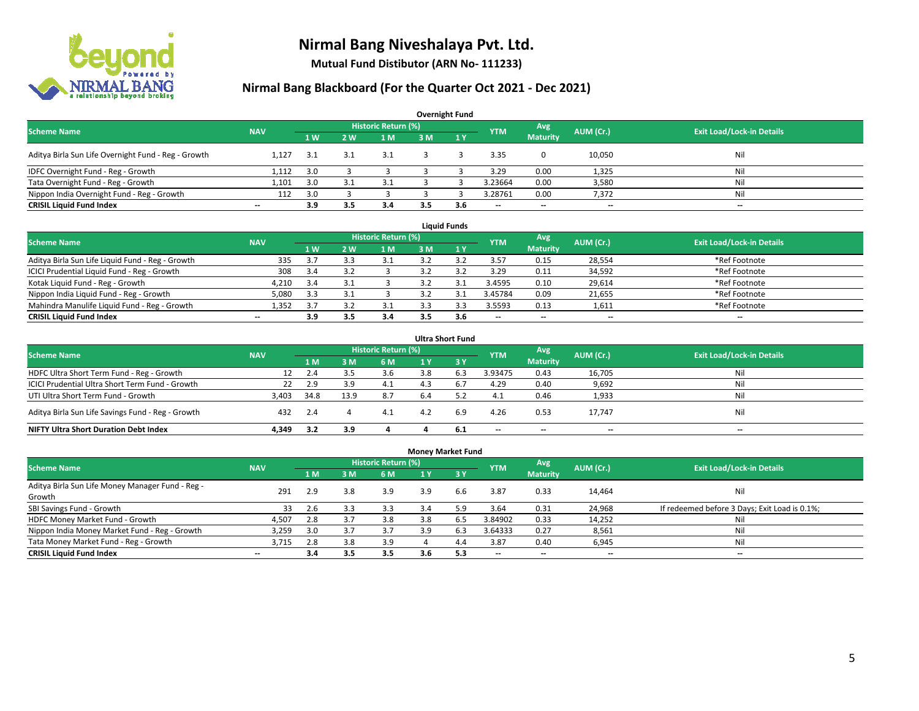

**Mutual Fund Distibutor (ARN No- 111233)**

| <b>Overnight Fund</b>                               |                          |     |                |                            |     |              |            |                          |           |                                  |  |  |  |  |
|-----------------------------------------------------|--------------------------|-----|----------------|----------------------------|-----|--------------|------------|--------------------------|-----------|----------------------------------|--|--|--|--|
| <b>Scheme Name</b>                                  | <b>NAV</b>               |     |                | <b>Historic Return (%)</b> |     |              | <b>YTM</b> | Avg                      | AUM (Cr.) | <b>Exit Load/Lock-in Details</b> |  |  |  |  |
|                                                     |                          | 1 W | 2 <sub>w</sub> | 1 M                        | 3 M | $\sqrt{1}$ Y |            | <b>Maturity</b>          |           |                                  |  |  |  |  |
| Aditya Birla Sun Life Overnight Fund - Reg - Growth | 1.127                    | 3.1 | 3.2            | 3.1                        |     |              | 3.35       |                          | 10,050    | Nil                              |  |  |  |  |
| IDFC Overnight Fund - Reg - Growth                  | 1,112                    | 3.0 |                |                            |     |              | 3.29       | 0.00                     | 1,325     | Nil                              |  |  |  |  |
| Tata Overnight Fund - Reg - Growth                  | 1.101                    | 3.0 |                |                            |     |              | 3.23664    | 0.00                     | 3,580     | Nil                              |  |  |  |  |
| Nippon India Overnight Fund - Reg - Growth          | 112                      | 3.0 |                |                            |     |              | 3.28761    | 0.00                     | 7,372     | Nil                              |  |  |  |  |
| <b>CRISIL Liquid Fund Index</b>                     | $\overline{\phantom{a}}$ | 3.9 | 3.5            | 3.4                        | 3.5 | 3.6          | --         | $\overline{\phantom{a}}$ | $- -$     | $-$                              |  |  |  |  |

| <b>Liquid Funds</b>                              |            |     |     |                     |     |     |                          |                          |           |                                  |  |  |  |
|--------------------------------------------------|------------|-----|-----|---------------------|-----|-----|--------------------------|--------------------------|-----------|----------------------------------|--|--|--|
| <b>Scheme Name</b>                               | <b>NAV</b> |     |     | Historic Return (%) |     |     | <b>YTM</b>               | Avg                      | AUM (Cr.) | <b>Exit Load/Lock-in Details</b> |  |  |  |
|                                                  |            | 1W  | 2 W | 1 M                 | зM  |     |                          | <b>Maturity</b>          |           |                                  |  |  |  |
| Aditya Birla Sun Life Liquid Fund - Reg - Growth | 335        | 3.  |     |                     |     |     | 3.57                     | 0.15                     | 28,554    | *Ref Footnote                    |  |  |  |
| ICICI Prudential Liquid Fund - Reg - Growth      | 308        | 3.4 |     |                     |     |     | 3.29                     | 0.11                     | 34,592    | *Ref Footnote                    |  |  |  |
| Kotak Liquid Fund - Reg - Growth                 | 4,210      | 3.4 |     |                     |     |     | 3.4595                   | 0.10                     | 29,614    | *Ref Footnote                    |  |  |  |
| Nippon India Liquid Fund - Reg - Growth          | 5,080      | 3.3 |     |                     |     |     | 3.45784                  | 0.09                     | 21,655    | *Ref Footnote                    |  |  |  |
| Mahindra Manulife Liquid Fund - Reg - Growth     | 1.352      | 3.7 |     |                     |     |     | 3.5593                   | 0.13                     | 1,611     | *Ref Footnote                    |  |  |  |
| <b>CRISIL Liquid Fund Index</b>                  | $- -$      | 3.9 | 3.5 | 3.4                 | 3.5 | 3.6 | $\overline{\phantom{a}}$ | $\overline{\phantom{a}}$ | $- -$     | $\overline{\phantom{a}}$         |  |  |  |

| <b>Ultra Short Fund</b>                           |            |      |      |                            |     |                  |                          |                          |                          |                                  |  |  |  |
|---------------------------------------------------|------------|------|------|----------------------------|-----|------------------|--------------------------|--------------------------|--------------------------|----------------------------------|--|--|--|
| <b>Scheme Name</b>                                | <b>NAV</b> |      |      | <b>Historic Return (%)</b> |     |                  | <b>YTM</b>               | Avg                      | AUM (Cr.)                | <b>Exit Load/Lock-in Details</b> |  |  |  |
|                                                   |            | 1 M  | ιM   | 6 M                        | 1 Y | $\overline{3}$ Y |                          | <b>Maturity</b>          |                          |                                  |  |  |  |
| HDFC Ultra Short Term Fund - Reg - Growth         |            | 2.4  |      | 3.6                        |     | 6.3              | 3.93475                  | 0.43                     | 16,705                   | Nil                              |  |  |  |
| ICICI Prudential Ultra Short Term Fund - Growth   | 22         | 2.9  | 3.9  | 4.1                        |     | 6.7              | 4.29                     | 0.40                     | 9,692                    | Nil                              |  |  |  |
| UTI Ultra Short Term Fund - Growth                | 3,403      | 34.8 | 13.9 | 8.7                        | 6.4 |                  | 4.1                      | 0.46                     | 1,933                    | Nil                              |  |  |  |
| Aditya Birla Sun Life Savings Fund - Reg - Growth | 432        | 2.4  |      | 4.1                        | 4.2 | 6.9              | 4.26                     | 0.53                     | 17,747                   | Nil                              |  |  |  |
| <b>NIFTY Ultra Short Duration Debt Index</b>      | 4.349      | 3.2  | 3.9  |                            |     | - 6.1            | $\overline{\phantom{a}}$ | $\overline{\phantom{a}}$ | $\overline{\phantom{a}}$ | $-$                              |  |  |  |

|                                                  |                          |     |     |                     | <b>Money Market Fund</b> |      |            |                          |                          |                                               |
|--------------------------------------------------|--------------------------|-----|-----|---------------------|--------------------------|------|------------|--------------------------|--------------------------|-----------------------------------------------|
| <b>Scheme Name</b>                               | <b>NAV</b>               |     |     | Historic Return (%) |                          |      | <b>YTM</b> | Avg                      | AUM (Cr.)                | <b>Exit Load/Lock-in Details</b>              |
|                                                  |                          | 1 M | 3 M | 6 M                 | 1 Y                      | 73Y  |            | <b>Maturity</b>          |                          |                                               |
| Aditya Birla Sun Life Money Manager Fund - Reg - | 291                      | 2.9 | 3.8 | 3.9                 | 3.9                      | 6.6  | 3.87       | 0.33                     | 14,464                   | Nil                                           |
| Growth                                           |                          |     |     |                     |                          |      |            |                          |                          |                                               |
| SBI Savings Fund - Growth                        | 33                       | 2.6 | 3.3 | 3.3                 | 3.4                      | 5.9  | 3.64       | 0.31                     | 24,968                   | If redeemed before 3 Days; Exit Load is 0.1%; |
| HDFC Money Market Fund - Growth                  | 4,507                    | 2.8 | 3.7 | 3.8                 | 3.8                      | 6.5  | 3.84902    | 0.33                     | 14,252                   | Nil                                           |
| Nippon India Money Market Fund - Reg - Growth    | 3,259                    | 3.0 |     | 3.7                 | 3.9                      | 6.3  | 3.64333    | 0.27                     | 8,561                    | Nil                                           |
| Tata Money Market Fund - Reg - Growth            | 3,715                    | 2.8 | 3.8 | 3.9                 |                          | 4.4  | 3.87       | 0.40                     | 6,945                    | Nil                                           |
| <b>CRISIL Liquid Fund Index</b>                  | $\overline{\phantom{a}}$ | 3.4 | 3.5 | 3.5                 | 3.6                      | -5.3 | --         | $\overline{\phantom{a}}$ | $\overline{\phantom{a}}$ | $\overline{\phantom{a}}$                      |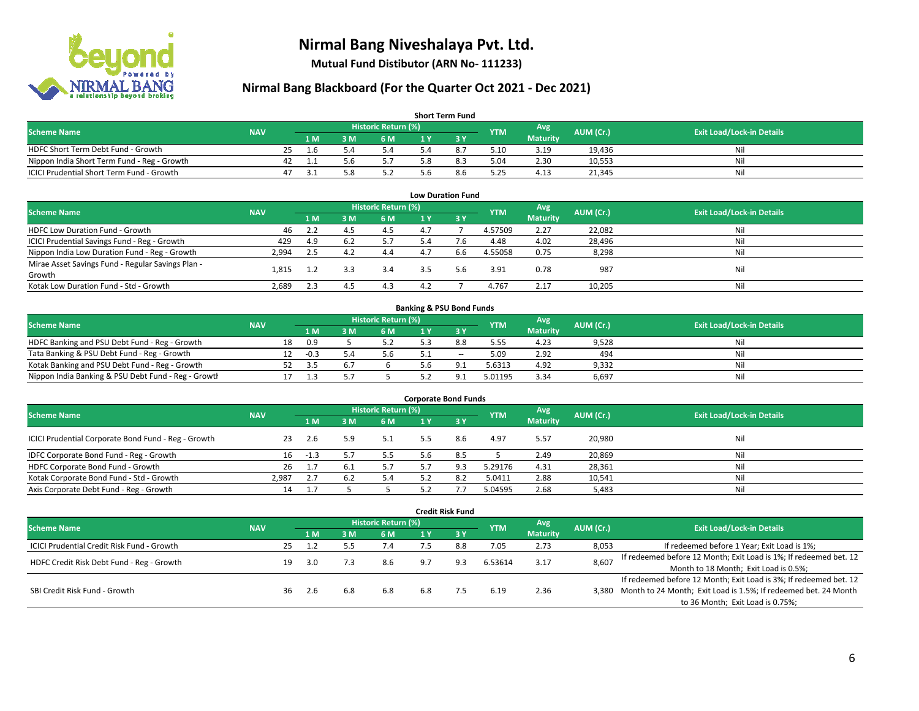

**Mutual Fund Distibutor (ARN No- 111233)**

| <b>Short Term Fund</b>                           |            |    |      |     |                     |     |     |            |                 |           |                                  |  |  |
|--------------------------------------------------|------------|----|------|-----|---------------------|-----|-----|------------|-----------------|-----------|----------------------------------|--|--|
| <b>Scheme Name</b>                               | <b>NAV</b> |    |      |     | Historic Return (%) |     |     | <b>YTM</b> | Avg             | AUM (Cr.) | <b>Exit Load/Lock-in Details</b> |  |  |
|                                                  |            |    | 1 M. | 3 M | 6 M                 |     |     |            | <b>Maturity</b> |           |                                  |  |  |
| HDFC Short Term Debt Fund - Growth               |            |    | l b  |     | 5.4                 |     | 8.7 | 5.10       | 3.19            | 19,436    | Nil                              |  |  |
| Nippon India Short Term Fund - Reg - Growth      |            | 42 |      | 5.6 | 5.7                 | 5.8 | 8.3 | 5.04       | 2.30            | 10,553    | Nil                              |  |  |
| <b>ICICI Prudential Short Term Fund - Growth</b> |            | 47 |      |     | 5.2                 | 5.6 | 8.6 | 5.25       | 4.13            | 21,345    | Nil                              |  |  |

| <b>Low Duration Fund</b>                          |            |      |     |                            |     |      |            |                 |           |                                  |  |  |  |
|---------------------------------------------------|------------|------|-----|----------------------------|-----|------|------------|-----------------|-----------|----------------------------------|--|--|--|
| <b>Scheme Name</b>                                | <b>NAV</b> |      |     | <b>Historic Return (%)</b> |     |      | <b>YTM</b> | Avg             | AUM (Cr.) | <b>Exit Load/Lock-in Details</b> |  |  |  |
|                                                   |            | 1 M  | 3 M | 6 M                        |     | -3 Y |            | <b>Maturity</b> |           |                                  |  |  |  |
| HDFC Low Duration Fund - Growth                   | 46         | 2.2  | 4.5 | 4.5                        | 4.7 |      | 4.57509    | 2.27            | 22,082    | Nil                              |  |  |  |
| ICICI Prudential Savings Fund - Reg - Growth      | 429        | 4.9  | 6.2 | 5.7                        | 5.4 | 7.6  | 4.48       | 4.02            | 28,496    | Nil                              |  |  |  |
| Nippon India Low Duration Fund - Reg - Growth     | 2,994      | -2.5 | 4.2 | 4.4                        | 4.7 | 6.6  | 4.55058    | 0.75            | 8,298     | Nil                              |  |  |  |
| Mirae Asset Savings Fund - Regular Savings Plan - |            |      |     | 3.4                        | 3.5 | 5.6  | 3.91       | 0.78            | 987       | Nil                              |  |  |  |
| Growth                                            | 1.815      |      |     |                            |     |      |            |                 |           |                                  |  |  |  |
| Kotak Low Duration Fund - Std - Growth            | 2,689      | 2.3  | 4.  | 4.3                        | 4.2 |      | 4.767      | 2.17            | 10,205    | Nil                              |  |  |  |

| <b>Banking &amp; PSU Bond Funds</b>                 |            |    |        |     |                     |  |       |            |                 |           |                                  |  |  |
|-----------------------------------------------------|------------|----|--------|-----|---------------------|--|-------|------------|-----------------|-----------|----------------------------------|--|--|
| <b>Scheme Name</b>                                  | <b>NAV</b> |    |        |     | Historic Return (%) |  |       | <b>YTM</b> | Avg             | AUM (Cr.) | <b>Exit Load/Lock-in Details</b> |  |  |
|                                                     |            |    | 4 M.   | ያ M | 6 M                 |  |       |            | <b>Maturity</b> |           |                                  |  |  |
| HDFC Banking and PSU Debt Fund - Reg - Growth       |            | 18 | 0.9    |     |                     |  | 8.8   | 5.55       | 4.23            | 9,528     | Nil                              |  |  |
| Tata Banking & PSU Debt Fund - Reg - Growth         |            |    | $-0.3$ |     | 5.6                 |  | $- -$ | 5.09       | 2.92            | 494       | Nil                              |  |  |
| Kotak Banking and PSU Debt Fund - Reg - Growth      |            |    |        |     |                     |  |       | 5.6313     | 4.92            | 9,332     | Nil                              |  |  |
| Nippon India Banking & PSU Debt Fund - Reg - Growth |            |    |        |     |                     |  |       | 5.01195    | 3.34            | 6,697     | Nil                              |  |  |

| <b>Corporate Bond Funds</b>                         |            |      |      |                     |     |      |            |                        |           |                                  |  |
|-----------------------------------------------------|------------|------|------|---------------------|-----|------|------------|------------------------|-----------|----------------------------------|--|
| <b>Scheme Name</b>                                  | <b>NAV</b> |      |      | Historic Return (%) |     |      | <b>YTM</b> | Avg<br><b>Maturity</b> | AUM (Cr.) | <b>Exit Load/Lock-in Details</b> |  |
|                                                     |            | 1 M  | IM የ | 6 M                 |     | -3 Y |            |                        |           |                                  |  |
| ICICI Prudential Corporate Bond Fund - Reg - Growth | 23         | -2.6 | 5.9  | 5.1                 | 5.5 | 8.6  | 4.97       | 5.57                   | 20,980    | Nil                              |  |
| IDFC Corporate Bond Fund - Reg - Growth             | 16         | -1.3 |      | 5.5                 | 5.6 | 8.5  |            | 2.49                   | 20,869    | Nil                              |  |
| HDFC Corporate Bond Fund - Growth                   | 26         | 1.7  | ∪.⊥  |                     |     |      | 5.29176    | 4.31                   | 28,361    | Nil                              |  |
| Kotak Corporate Bond Fund - Std - Growth            | 2,987      | 2.7  |      | 5.4                 |     |      | 5.0411     | 2.88                   | 10,541    | Nil                              |  |
| Axis Corporate Debt Fund - Reg - Growth             | 14         |      |      |                     |     |      | 5.04595    | 2.68                   | 5,483     | Nil                              |  |

|                                            |            |    |     |                            |     |     | <b>Credit Risk Fund</b> |         |                 |                                  |                                                                       |
|--------------------------------------------|------------|----|-----|----------------------------|-----|-----|-------------------------|---------|-----------------|----------------------------------|-----------------------------------------------------------------------|
| <b>Scheme Name</b>                         | <b>NAV</b> |    |     | <b>Historic Return (%)</b> |     |     | <b>YTM</b>              | Avg     | AUM (Cr.)       | <b>Exit Load/Lock-in Details</b> |                                                                       |
|                                            |            |    | 1 M | 3 M                        | 6 M | 1 Y | $-3V$                   |         | <b>Maturity</b> |                                  |                                                                       |
| ICICI Prudential Credit Risk Fund - Growth |            | 25 |     |                            | 7.4 |     | 8.8                     | 7.05    | 2.73            | 8,053                            | If redeemed before 1 Year; Exit Load is 1%;                           |
| HDFC Credit Risk Debt Fund - Reg - Growth  |            | 19 | 3.0 |                            | 8.6 | 9.7 | 9.3                     | 6.53614 | 3.17            | 8,607                            | If redeemed before 12 Month; Exit Load is 1%; If redeemed bet. 12     |
|                                            |            |    |     |                            |     |     |                         |         |                 |                                  | Month to 18 Month; Exit Load is 0.5%;                                 |
|                                            |            |    |     |                            |     |     |                         |         |                 |                                  | If redeemed before 12 Month; Exit Load is 3%; If redeemed bet. 12     |
| SBI Credit Risk Fund - Growth              |            | 36 | 2.6 | 6.8                        | 6.8 | 6.8 |                         | 6.19    | 2.36            |                                  | 3,380 Month to 24 Month; Exit Load is 1.5%; If redeemed bet. 24 Month |
|                                            |            |    |     |                            |     |     |                         |         |                 |                                  | to 36 Month; Exit Load is 0.75%;                                      |